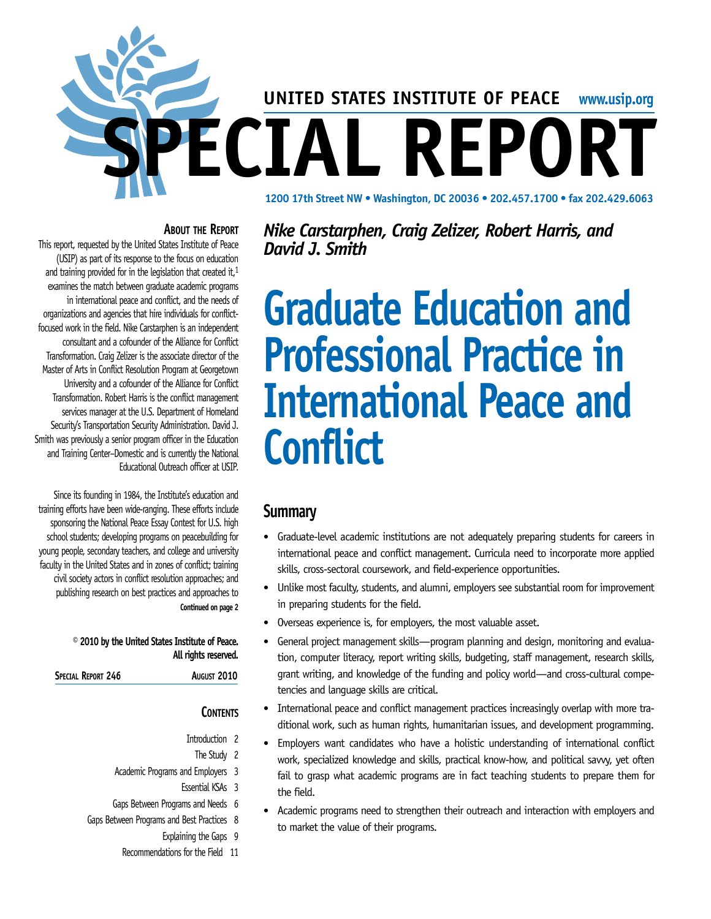

## **About the Report**

This report, requested by the United States Institute of Peace (USIP) as part of its response to the focus on education and training provided for in the legislation that created it, $1$ examines the match between graduate academic programs in international peace and conflict, and the needs of organizations and agencies that hire individuals for conflictfocused work in the field. Nike Carstarphen is an independent consultant and a cofounder of the Alliance for Conflict Transformation. Craig Zelizer is the associate director of the Master of Arts in Conflict Resolution Program at Georgetown University and a cofounder of the Alliance for Conflict Transformation. Robert Harris is the conflict management services manager at the U.S. Department of Homeland Security's Transportation Security Administration. David J. Smith was previously a senior program officer in the Education and Training Center–Domestic and is currently the National Educational Outreach officer at USIP.

Since its founding in 1984, the Institute's education and training efforts have been wide-ranging. These efforts include sponsoring the National Peace Essay Contest for U.S. high school students; developing programs on peacebuilding for young people, secondary teachers, and college and university faculty in the United States and in zones of conflict; training civil society actors in conflict resolution approaches; and publishing research on best practices and approaches to **Continued on page 2**

## **© 2010 by the United States Institute of Peace. All rights reserved.**

| SPECIAL REPORT 246 | AUGUST 2010 |
|--------------------|-------------|
|                    |             |

## **Contents**

- Introduction 2
- The Study 2
- Academic Programs and Employers 3
	- Essential KSAs 3
- Gaps Between Programs and Needs 6
- Gaps Between Programs and Best Practices 8
	- Explaining the Gaps 9
	- Recommendations for the Field 11

*Nike Carstarphen, Craig Zelizer, Robert Harris, and David J. Smith*

# **Graduate Education and Professional Practice in International Peace and Conflict**

# **Summary**

- Graduate-level academic institutions are not adequately preparing students for careers in international peace and conflict management. Curricula need to incorporate more applied skills, cross-sectoral coursework, and field-experience opportunities.
- Unlike most faculty, students, and alumni, employers see substantial room for improvement in preparing students for the field.
- Overseas experience is, for employers, the most valuable asset.
- General project management skills—program planning and design, monitoring and evaluation, computer literacy, report writing skills, budgeting, staff management, research skills, grant writing, and knowledge of the funding and policy world—and cross-cultural competencies and language skills are critical.
- International peace and conflict management practices increasingly overlap with more traditional work, such as human rights, humanitarian issues, and development programming.
- Employers want candidates who have a holistic understanding of international conflict work, specialized knowledge and skills, practical know-how, and political savvy, yet often fail to grasp what academic programs are in fact teaching students to prepare them for the field.
- Academic programs need to strengthen their outreach and interaction with employers and to market the value of their programs.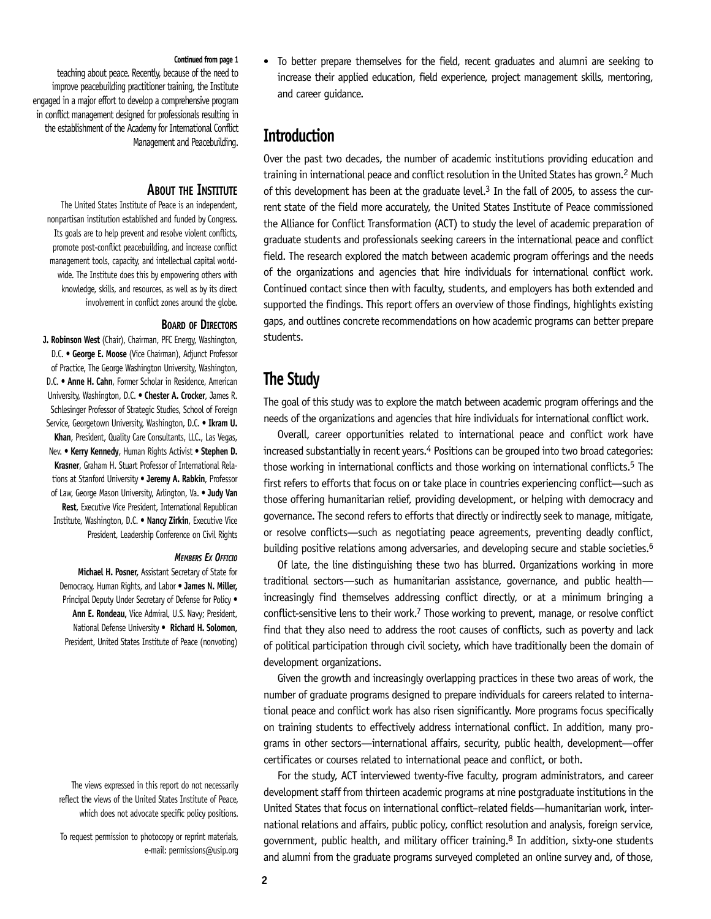#### **Continued from page 1**

teaching about peace. Recently, because of the need to improve peacebuilding practitioner training, the Institute engaged in a major effort to develop a comprehensive program in conflict management designed for professionals resulting in the establishment of the Academy for International Conflict Management and Peacebuilding.

## **About the Institute**

The United States Institute of Peace is an independent, nonpartisan institution established and funded by Congress. Its goals are to help prevent and resolve violent conflicts, promote post-conflict peacebuilding, and increase conflict management tools, capacity, and intellectual capital worldwide. The Institute does this by empowering others with knowledge, skills, and resources, as well as by its direct involvement in conflict zones around the globe.

#### **Board of Directors**

**J. Robinson West** (Chair), Chairman, PFC Energy, Washington, D.C. • **George E. Moose** (Vice Chairman), Adjunct Professor of Practice, The George Washington University, Washington, D.C. • **Anne H. Cahn**, Former Scholar in Residence, American University, Washington, D.C. • **Chester A. Crocker**, James R. Schlesinger Professor of Strategic Studies, School of Foreign Service, Georgetown University, Washington, D.C. • **Ikram U. Khan**, President, Quality Care Consultants, LLC., Las Vegas, Nev. • **Kerry Kennedy**, Human Rights Activist • **Stephen D. Krasner**, Graham H. Stuart Professor of International Relations at Stanford University • **Jeremy A. Rabkin**, Professor of Law, George Mason University, Arlington, Va. • **Judy Van Rest**, Executive Vice President, International Republican Institute, Washington, D.C. • **Nancy Zirkin**, Executive Vice President, Leadership Conference on Civil Rights

#### *Members Ex Officio*

**Michael H. Posner,** Assistant Secretary of State for Democracy, Human Rights, and Labor • **James N. Miller,**  Principal Deputy Under Secretary of Defense for Policy . **Ann E. Rondeau,** Vice Admiral, U.S. Navy; President, National Defense University • **Richard H. Solomon,**  President, United States Institute of Peace (nonvoting)

The views expressed in this report do not necessarily reflect the views of the United States Institute of Peace, which does not advocate specific policy positions.

To request permission to photocopy or reprint materials, e-mail: permissions@usip.org • To better prepare themselves for the field, recent graduates and alumni are seeking to increase their applied education, field experience, project management skills, mentoring, and career guidance.

# **Introduction**

Over the past two decades, the number of academic institutions providing education and training in international peace and conflict resolution in the United States has grown.2 Much of this development has been at the graduate level.<sup>3</sup> In the fall of 2005, to assess the current state of the field more accurately, the United States Institute of Peace commissioned the Alliance for Conflict Transformation (ACT) to study the level of academic preparation of graduate students and professionals seeking careers in the international peace and conflict field. The research explored the match between academic program offerings and the needs of the organizations and agencies that hire individuals for international conflict work. Continued contact since then with faculty, students, and employers has both extended and supported the findings. This report offers an overview of those findings, highlights existing gaps, and outlines concrete recommendations on how academic programs can better prepare students.

# **The Study**

The goal of this study was to explore the match between academic program offerings and the needs of the organizations and agencies that hire individuals for international conflict work.

Overall, career opportunities related to international peace and conflict work have increased substantially in recent years.<sup>4</sup> Positions can be grouped into two broad categories: those working in international conflicts and those working on international conflicts.<sup>5</sup> The first refers to efforts that focus on or take place in countries experiencing conflict—such as those offering humanitarian relief, providing development, or helping with democracy and governance. The second refers to efforts that directly or indirectly seek to manage, mitigate, or resolve conflicts—such as negotiating peace agreements, preventing deadly conflict, building positive relations among adversaries, and developing secure and stable societies.<sup>6</sup>

Of late, the line distinguishing these two has blurred. Organizations working in more traditional sectors—such as humanitarian assistance, governance, and public health increasingly find themselves addressing conflict directly, or at a minimum bringing a conflict-sensitive lens to their work.<sup>7</sup> Those working to prevent, manage, or resolve conflict find that they also need to address the root causes of conflicts, such as poverty and lack of political participation through civil society, which have traditionally been the domain of development organizations.

Given the growth and increasingly overlapping practices in these two areas of work, the number of graduate programs designed to prepare individuals for careers related to international peace and conflict work has also risen significantly. More programs focus specifically on training students to effectively address international conflict. In addition, many programs in other sectors—international affairs, security, public health, development—offer certificates or courses related to international peace and conflict, or both.

For the study, ACT interviewed twenty-five faculty, program administrators, and career development staff from thirteen academic programs at nine postgraduate institutions in the United States that focus on international conflict–related fields—humanitarian work, international relations and affairs, public policy, conflict resolution and analysis, foreign service, government, public health, and military officer training.8 In addition, sixty-one students and alumni from the graduate programs surveyed completed an online survey and, of those,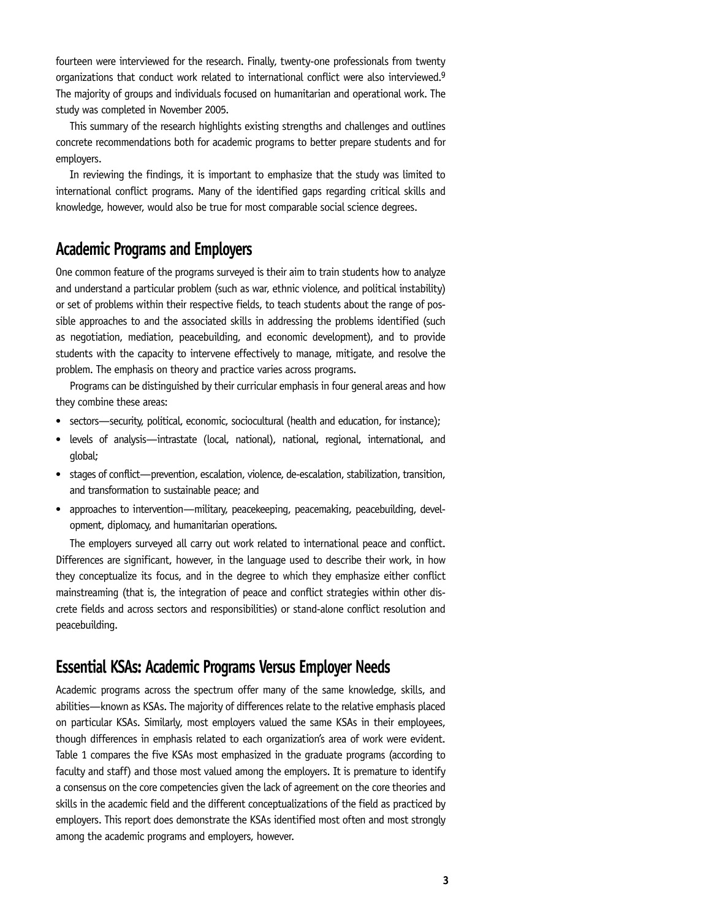fourteen were interviewed for the research. Finally, twenty-one professionals from twenty organizations that conduct work related to international conflict were also interviewed.<sup>9</sup> The majority of groups and individuals focused on humanitarian and operational work. The study was completed in November 2005.

This summary of the research highlights existing strengths and challenges and outlines concrete recommendations both for academic programs to better prepare students and for employers.

In reviewing the findings, it is important to emphasize that the study was limited to international conflict programs. Many of the identified gaps regarding critical skills and knowledge, however, would also be true for most comparable social science degrees.

# **Academic Programs and Employers**

One common feature of the programs surveyed is their aim to train students how to analyze and understand a particular problem (such as war, ethnic violence, and political instability) or set of problems within their respective fields, to teach students about the range of possible approaches to and the associated skills in addressing the problems identified (such as negotiation, mediation, peacebuilding, and economic development), and to provide students with the capacity to intervene effectively to manage, mitigate, and resolve the problem. The emphasis on theory and practice varies across programs.

Programs can be distinguished by their curricular emphasis in four general areas and how they combine these areas:

- sectors—security, political, economic, sociocultural (health and education, for instance);
- levels of analysis—intrastate (local, national), national, regional, international, and global;
- stages of conflict—prevention, escalation, violence, de-escalation, stabilization, transition, and transformation to sustainable peace; and
- approaches to intervention—military, peacekeeping, peacemaking, peacebuilding, development, diplomacy, and humanitarian operations.

The employers surveyed all carry out work related to international peace and conflict. Differences are significant, however, in the language used to describe their work, in how they conceptualize its focus, and in the degree to which they emphasize either conflict mainstreaming (that is, the integration of peace and conflict strategies within other discrete fields and across sectors and responsibilities) or stand-alone conflict resolution and peacebuilding.

# **Essential KSAs: Academic Programs Versus Employer Needs**

Academic programs across the spectrum offer many of the same knowledge, skills, and abilities—known as KSAs. The majority of differences relate to the relative emphasis placed on particular KSAs. Similarly, most employers valued the same KSAs in their employees, though differences in emphasis related to each organization's area of work were evident. Table 1 compares the five KSAs most emphasized in the graduate programs (according to faculty and staff) and those most valued among the employers. It is premature to identify a consensus on the core competencies given the lack of agreement on the core theories and skills in the academic field and the different conceptualizations of the field as practiced by employers. This report does demonstrate the KSAs identified most often and most strongly among the academic programs and employers, however.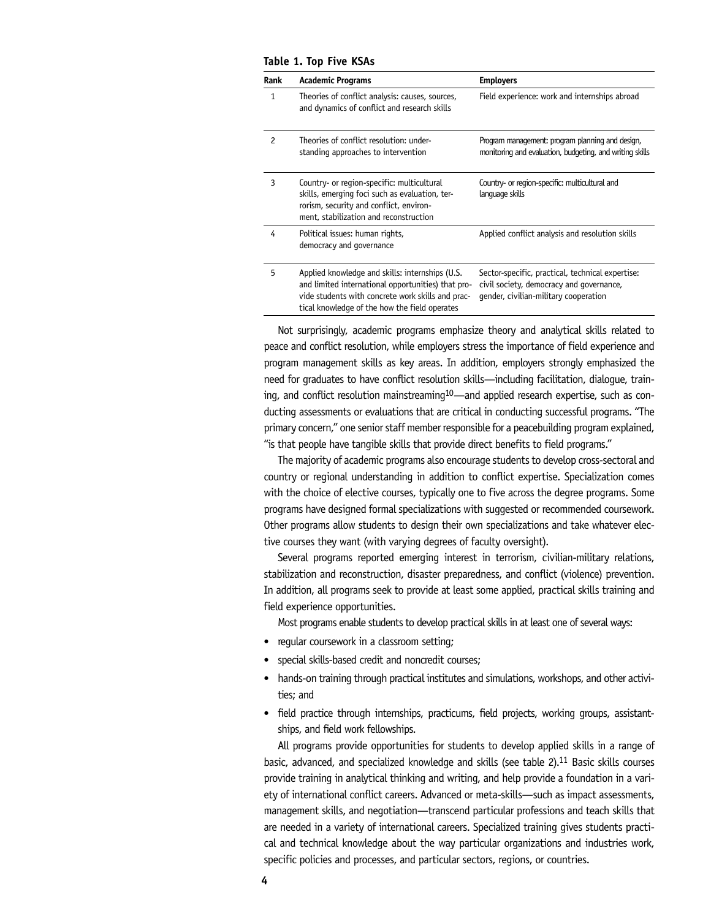| Table 1. Top Five KSAs |  |  |  |  |
|------------------------|--|--|--|--|
|------------------------|--|--|--|--|

| Rank | <b>Academic Programs</b>                                                                                                                                                                                    | <b>Employers</b>                                                                                                                      |
|------|-------------------------------------------------------------------------------------------------------------------------------------------------------------------------------------------------------------|---------------------------------------------------------------------------------------------------------------------------------------|
| 1    | Theories of conflict analysis: causes, sources,<br>and dynamics of conflict and research skills                                                                                                             | Field experience: work and internships abroad                                                                                         |
| 2    | Theories of conflict resolution: under-<br>standing approaches to intervention                                                                                                                              | Program management: program planning and design,<br>monitoring and evaluation, budgeting, and writing skills                          |
| 3    | Country- or region-specific: multicultural<br>skills, emerging foci such as evaluation, ter-<br>rorism, security and conflict, environ-<br>ment, stabilization and reconstruction                           | Country- or region-specific: multicultural and<br>language skills                                                                     |
| 4    | Political issues: human rights,<br>democracy and governance                                                                                                                                                 | Applied conflict analysis and resolution skills                                                                                       |
| 5    | Applied knowledge and skills: internships (U.S.<br>and limited international opportunities) that pro-<br>vide students with concrete work skills and prac-<br>tical knowledge of the how the field operates | Sector-specific, practical, technical expertise:<br>civil society, democracy and governance,<br>gender, civilian-military cooperation |

Not surprisingly, academic programs emphasize theory and analytical skills related to peace and conflict resolution, while employers stress the importance of field experience and program management skills as key areas. In addition, employers strongly emphasized the need for graduates to have conflict resolution skills—including facilitation, dialogue, training, and conflict resolution mainstreaming<sup>10</sup>—and applied research expertise, such as conducting assessments or evaluations that are critical in conducting successful programs. "The primary concern," one senior staff member responsible for a peacebuilding program explained, "is that people have tangible skills that provide direct benefits to field programs."

The majority of academic programs also encourage students to develop cross-sectoral and country or regional understanding in addition to conflict expertise. Specialization comes with the choice of elective courses, typically one to five across the degree programs. Some programs have designed formal specializations with suggested or recommended coursework. Other programs allow students to design their own specializations and take whatever elective courses they want (with varying degrees of faculty oversight).

Several programs reported emerging interest in terrorism, civilian-military relations, stabilization and reconstruction, disaster preparedness, and conflict (violence) prevention. In addition, all programs seek to provide at least some applied, practical skills training and field experience opportunities.

Most programs enable students to develop practical skills in at least one of several ways:

- regular coursework in a classroom setting;
- special skills-based credit and noncredit courses;
- hands-on training through practical institutes and simulations, workshops, and other activities; and
- field practice through internships, practicums, field projects, working groups, assistantships, and field work fellowships.

All programs provide opportunities for students to develop applied skills in a range of basic, advanced, and specialized knowledge and skills (see table 2).11 Basic skills courses provide training in analytical thinking and writing, and help provide a foundation in a variety of international conflict careers. Advanced or meta-skills—such as impact assessments, management skills, and negotiation—transcend particular professions and teach skills that are needed in a variety of international careers. Specialized training gives students practical and technical knowledge about the way particular organizations and industries work, specific policies and processes, and particular sectors, regions, or countries.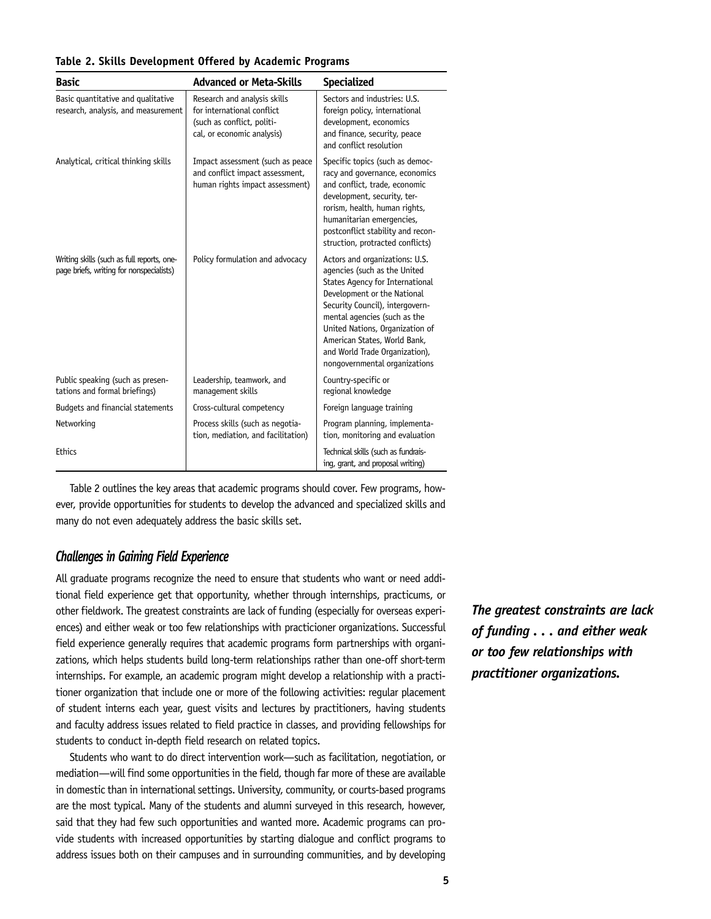| <b>Basic</b>                                                                           | <b>Advanced or Meta-Skills</b>                                                                                         | <b>Specialized</b>                                                                                                                                                                                                                                                                                                                        |
|----------------------------------------------------------------------------------------|------------------------------------------------------------------------------------------------------------------------|-------------------------------------------------------------------------------------------------------------------------------------------------------------------------------------------------------------------------------------------------------------------------------------------------------------------------------------------|
| Basic quantitative and qualitative<br>research, analysis, and measurement              | Research and analysis skills<br>for international conflict<br>(such as conflict, politi-<br>cal, or economic analysis) | Sectors and industries: U.S.<br>foreign policy, international<br>development, economics<br>and finance, security, peace<br>and conflict resolution                                                                                                                                                                                        |
| Analytical, critical thinking skills                                                   | Impact assessment (such as peace<br>and conflict impact assessment,<br>human rights impact assessment)                 | Specific topics (such as democ-<br>racy and governance, economics<br>and conflict, trade, economic<br>development, security, ter-<br>rorism, health, human rights,<br>humanitarian emergencies,<br>postconflict stability and recon-<br>struction, protracted conflicts)                                                                  |
| Writing skills (such as full reports, one-<br>page briefs, writing for nonspecialists) | Policy formulation and advocacy                                                                                        | Actors and organizations: U.S.<br>agencies (such as the United<br>States Agency for International<br>Development or the National<br>Security Council), intergovern-<br>mental agencies (such as the<br>United Nations, Organization of<br>American States, World Bank,<br>and World Trade Organization),<br>nongovernmental organizations |
| Public speaking (such as presen-<br>tations and formal briefings)                      | Leadership, teamwork, and<br>management skills                                                                         | Country-specific or<br>regional knowledge                                                                                                                                                                                                                                                                                                 |
| Budgets and financial statements                                                       | Cross-cultural competency                                                                                              | Foreign language training                                                                                                                                                                                                                                                                                                                 |
| Networking                                                                             | Process skills (such as negotia-<br>tion, mediation, and facilitation)                                                 | Program planning, implementa-<br>tion, monitoring and evaluation                                                                                                                                                                                                                                                                          |
| Ethics                                                                                 |                                                                                                                        | Technical skills (such as fundrais-<br>ing, grant, and proposal writing)                                                                                                                                                                                                                                                                  |

**Table 2. Skills Development Offered by Academic Programs**

Table 2 outlines the key areas that academic programs should cover. Few programs, however, provide opportunities for students to develop the advanced and specialized skills and many do not even adequately address the basic skills set.

### *Challenges in Gaining Field Experience*

All graduate programs recognize the need to ensure that students who want or need additional field experience get that opportunity, whether through internships, practicums, or other fieldwork. The greatest constraints are lack of funding (especially for overseas experiences) and either weak or too few relationships with practicioner organizations. Successful field experience generally requires that academic programs form partnerships with organizations, which helps students build long-term relationships rather than one-off short-term internships. For example, an academic program might develop a relationship with a practitioner organization that include one or more of the following activities: regular placement of student interns each year, guest visits and lectures by practitioners, having students and faculty address issues related to field practice in classes, and providing fellowships for students to conduct in-depth field research on related topics.

Students who want to do direct intervention work—such as facilitation, negotiation, or mediation—will find some opportunities in the field, though far more of these are available in domestic than in international settings. University, community, or courts-based programs are the most typical. Many of the students and alumni surveyed in this research, however, said that they had few such opportunities and wanted more. Academic programs can provide students with increased opportunities by starting dialogue and conflict programs to address issues both on their campuses and in surrounding communities, and by developing

*The greatest constraints are lack of funding . . . and either weak or too few relationships with practitioner organizations.*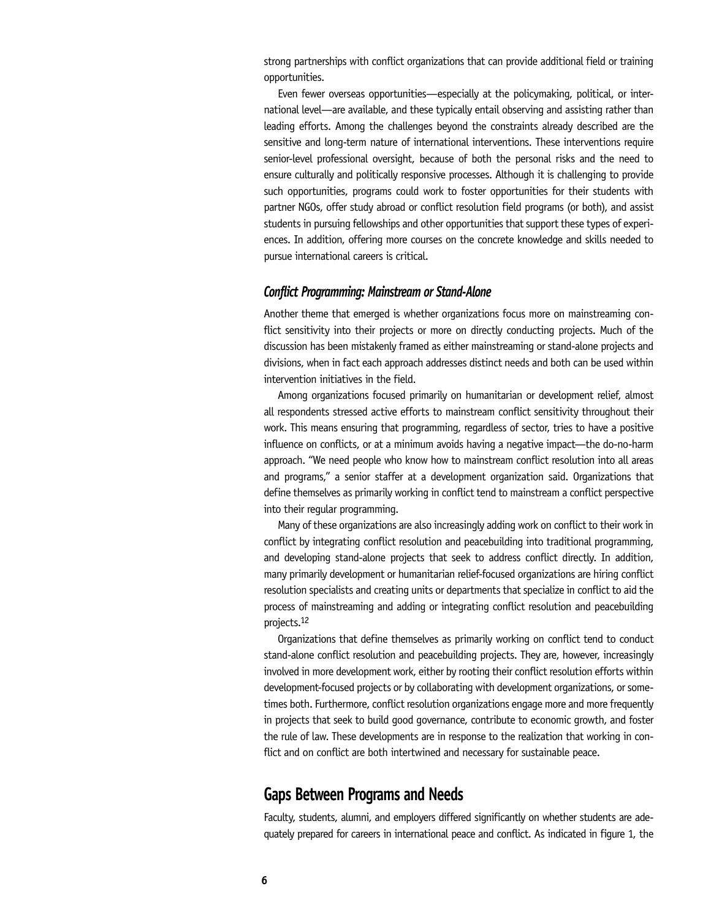strong partnerships with conflict organizations that can provide additional field or training opportunities.

Even fewer overseas opportunities—especially at the policymaking, political, or international level—are available, and these typically entail observing and assisting rather than leading efforts. Among the challenges beyond the constraints already described are the sensitive and long-term nature of international interventions. These interventions require senior-level professional oversight, because of both the personal risks and the need to ensure culturally and politically responsive processes. Although it is challenging to provide such opportunities, programs could work to foster opportunities for their students with partner NGOs, offer study abroad or conflict resolution field programs (or both), and assist students in pursuing fellowships and other opportunities that support these types of experiences. In addition, offering more courses on the concrete knowledge and skills needed to pursue international careers is critical.

### *Conflict Programming: Mainstream or Stand-Alone*

Another theme that emerged is whether organizations focus more on mainstreaming conflict sensitivity into their projects or more on directly conducting projects. Much of the discussion has been mistakenly framed as either mainstreaming or stand-alone projects and divisions, when in fact each approach addresses distinct needs and both can be used within intervention initiatives in the field.

Among organizations focused primarily on humanitarian or development relief, almost all respondents stressed active efforts to mainstream conflict sensitivity throughout their work. This means ensuring that programming, regardless of sector, tries to have a positive influence on conflicts, or at a minimum avoids having a negative impact—the do-no-harm approach. "We need people who know how to mainstream conflict resolution into all areas and programs," a senior staffer at a development organization said. Organizations that define themselves as primarily working in conflict tend to mainstream a conflict perspective into their regular programming.

Many of these organizations are also increasingly adding work on conflict to their work in conflict by integrating conflict resolution and peacebuilding into traditional programming, and developing stand-alone projects that seek to address conflict directly. In addition, many primarily development or humanitarian relief-focused organizations are hiring conflict resolution specialists and creating units or departments that specialize in conflict to aid the process of mainstreaming and adding or integrating conflict resolution and peacebuilding projects.12

Organizations that define themselves as primarily working on conflict tend to conduct stand-alone conflict resolution and peacebuilding projects. They are, however, increasingly involved in more development work, either by rooting their conflict resolution efforts within development-focused projects or by collaborating with development organizations, or sometimes both. Furthermore, conflict resolution organizations engage more and more frequently in projects that seek to build good governance, contribute to economic growth, and foster the rule of law. These developments are in response to the realization that working in conflict and on conflict are both intertwined and necessary for sustainable peace.

# **Gaps Between Programs and Needs**

Faculty, students, alumni, and employers differed significantly on whether students are adequately prepared for careers in international peace and conflict. As indicated in figure 1, the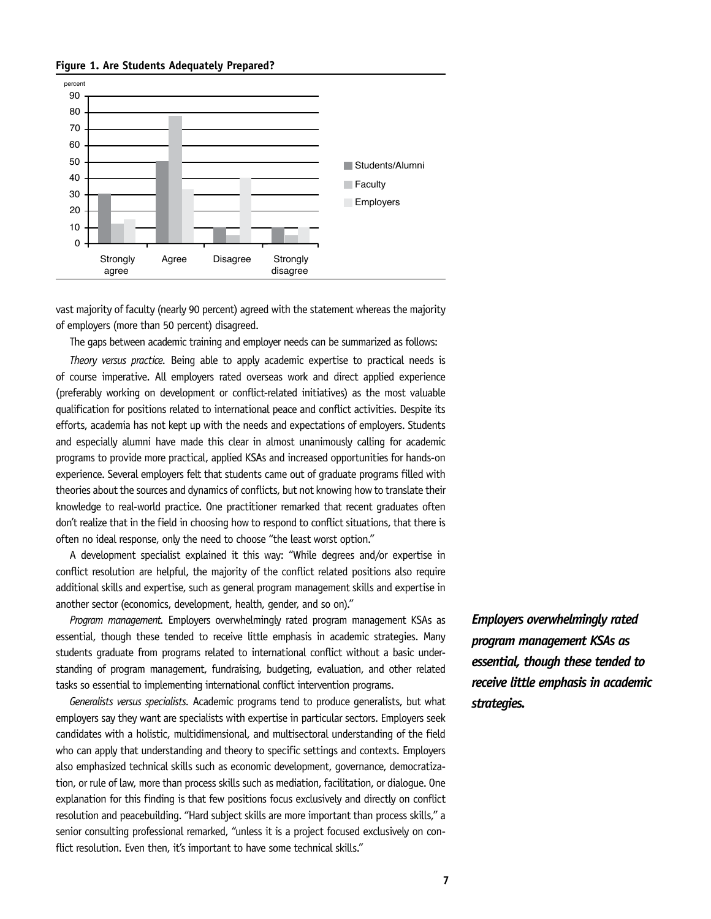#### **Figure 1. Are Students Adequately Prepared?**



vast majority of faculty (nearly 90 percent) agreed with the statement whereas the majority of employers (more than 50 percent) disagreed.

The gaps between academic training and employer needs can be summarized as follows:

*Theory versus practice.* Being able to apply academic expertise to practical needs is of course imperative. All employers rated overseas work and direct applied experience (preferably working on development or conflict-related initiatives) as the most valuable qualification for positions related to international peace and conflict activities. Despite its efforts, academia has not kept up with the needs and expectations of employers. Students and especially alumni have made this clear in almost unanimously calling for academic programs to provide more practical, applied KSAs and increased opportunities for hands-on experience. Several employers felt that students came out of graduate programs filled with theories about the sources and dynamics of conflicts, but not knowing how to translate their knowledge to real-world practice. One practitioner remarked that recent graduates often don't realize that in the field in choosing how to respond to conflict situations, that there is often no ideal response, only the need to choose "the least worst option."

A development specialist explained it this way: "While degrees and/or expertise in conflict resolution are helpful, the majority of the conflict related positions also require additional skills and expertise, such as general program management skills and expertise in another sector (economics, development, health, gender, and so on)."

*Program management.* Employers overwhelmingly rated program management KSAs as essential, though these tended to receive little emphasis in academic strategies. Many students graduate from programs related to international conflict without a basic understanding of program management, fundraising, budgeting, evaluation, and other related tasks so essential to implementing international conflict intervention programs.

*Generalists versus specialists.* Academic programs tend to produce generalists, but what employers say they want are specialists with expertise in particular sectors. Employers seek candidates with a holistic, multidimensional, and multisectoral understanding of the field who can apply that understanding and theory to specific settings and contexts. Employers also emphasized technical skills such as economic development, governance, democratization, or rule of law, more than process skills such as mediation, facilitation, or dialogue. One explanation for this finding is that few positions focus exclusively and directly on conflict resolution and peacebuilding. "Hard subject skills are more important than process skills," a senior consulting professional remarked, "unless it is a project focused exclusively on conflict resolution. Even then, it's important to have some technical skills."

*Employers overwhelmingly rated program management KSAs as essential, though these tended to receive little emphasis in academic strategies.*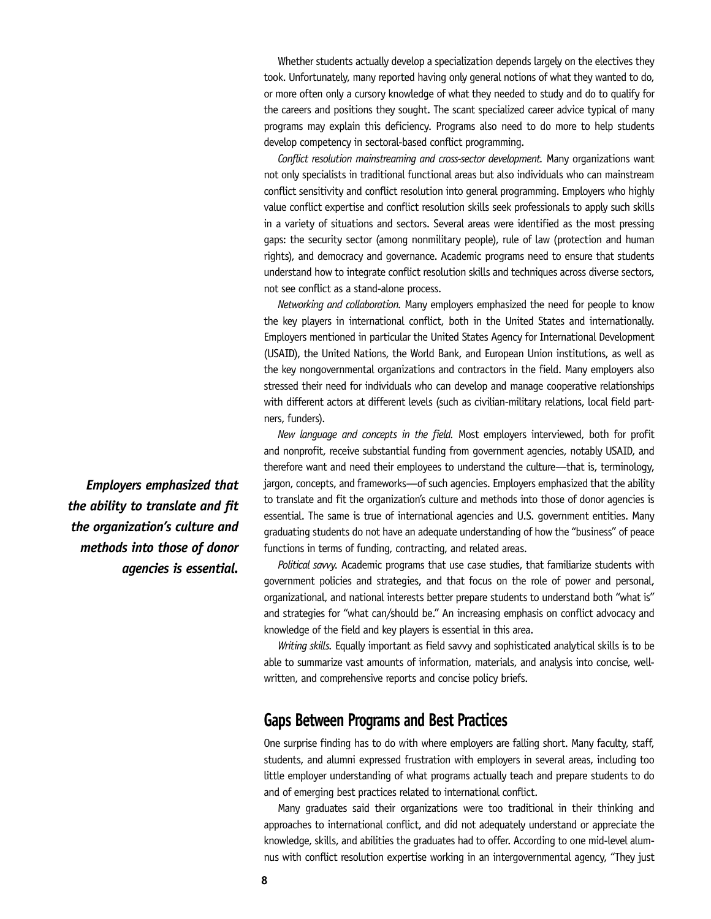Whether students actually develop a specialization depends largely on the electives they took. Unfortunately, many reported having only general notions of what they wanted to do, or more often only a cursory knowledge of what they needed to study and do to qualify for the careers and positions they sought. The scant specialized career advice typical of many programs may explain this deficiency. Programs also need to do more to help students develop competency in sectoral-based conflict programming.

*Conflict resolution mainstreaming and cross-sector development.* Many organizations want not only specialists in traditional functional areas but also individuals who can mainstream conflict sensitivity and conflict resolution into general programming. Employers who highly value conflict expertise and conflict resolution skills seek professionals to apply such skills in a variety of situations and sectors. Several areas were identified as the most pressing gaps: the security sector (among nonmilitary people), rule of law (protection and human rights), and democracy and governance. Academic programs need to ensure that students understand how to integrate conflict resolution skills and techniques across diverse sectors, not see conflict as a stand-alone process.

*Networking and collaboration.* Many employers emphasized the need for people to know the key players in international conflict, both in the United States and internationally. Employers mentioned in particular the United States Agency for International Development (USAID), the United Nations, the World Bank, and European Union institutions, as well as the key nongovernmental organizations and contractors in the field. Many employers also stressed their need for individuals who can develop and manage cooperative relationships with different actors at different levels (such as civilian-military relations, local field partners, funders).

*New language and concepts in the field.* Most employers interviewed, both for profit and nonprofit, receive substantial funding from government agencies, notably USAID, and therefore want and need their employees to understand the culture—that is, terminology, jargon, concepts, and frameworks—of such agencies. Employers emphasized that the ability to translate and fit the organization's culture and methods into those of donor agencies is essential. The same is true of international agencies and U.S. government entities. Many graduating students do not have an adequate understanding of how the "business" of peace functions in terms of funding, contracting, and related areas.

*Political savvy.* Academic programs that use case studies, that familiarize students with government policies and strategies, and that focus on the role of power and personal, organizational, and national interests better prepare students to understand both "what is" and strategies for "what can/should be." An increasing emphasis on conflict advocacy and knowledge of the field and key players is essential in this area.

*Writing skills.* Equally important as field savvy and sophisticated analytical skills is to be able to summarize vast amounts of information, materials, and analysis into concise, wellwritten, and comprehensive reports and concise policy briefs.

# **Gaps Between Programs and Best Practices**

One surprise finding has to do with where employers are falling short. Many faculty, staff, students, and alumni expressed frustration with employers in several areas, including too little employer understanding of what programs actually teach and prepare students to do and of emerging best practices related to international conflict.

Many graduates said their organizations were too traditional in their thinking and approaches to international conflict, and did not adequately understand or appreciate the knowledge, skills, and abilities the graduates had to offer. According to one mid-level alumnus with conflict resolution expertise working in an intergovernmental agency, "They just

*Employers emphasized that the ability to translate and fit the organization's culture and methods into those of donor agencies is essential.*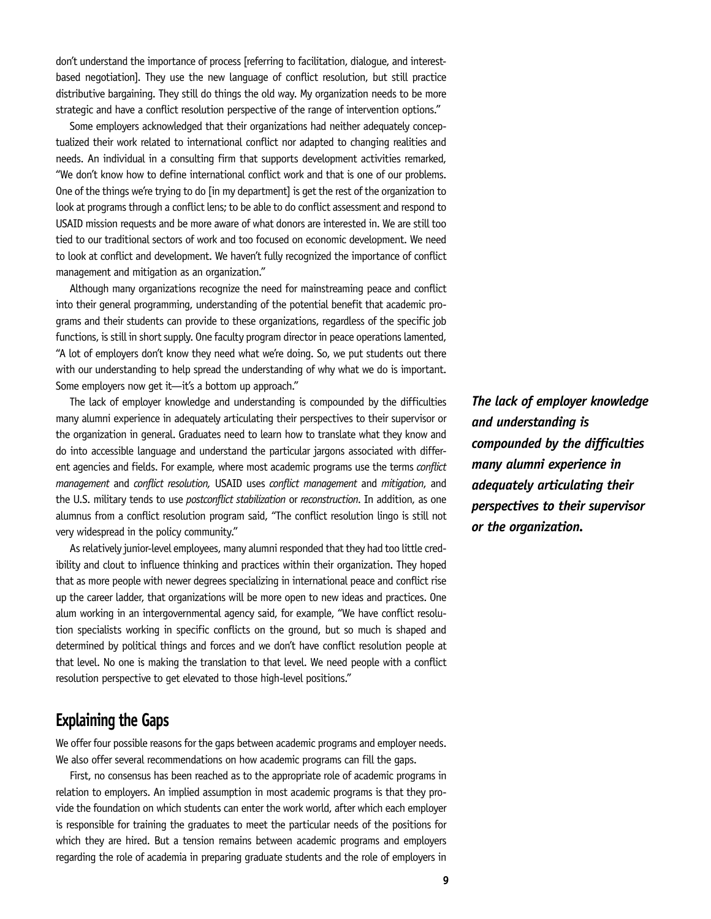don't understand the importance of process [referring to facilitation, dialogue, and interestbased negotiation]. They use the new language of conflict resolution, but still practice distributive bargaining. They still do things the old way. My organization needs to be more strategic and have a conflict resolution perspective of the range of intervention options."

Some employers acknowledged that their organizations had neither adequately conceptualized their work related to international conflict nor adapted to changing realities and needs. An individual in a consulting firm that supports development activities remarked, "We don't know how to define international conflict work and that is one of our problems. One of the things we're trying to do [in my department] is get the rest of the organization to look at programs through a conflict lens; to be able to do conflict assessment and respond to USAID mission requests and be more aware of what donors are interested in. We are still too tied to our traditional sectors of work and too focused on economic development. We need to look at conflict and development. We haven't fully recognized the importance of conflict management and mitigation as an organization."

Although many organizations recognize the need for mainstreaming peace and conflict into their general programming, understanding of the potential benefit that academic programs and their students can provide to these organizations, regardless of the specific job functions, is still in short supply. One faculty program director in peace operations lamented, "A lot of employers don't know they need what we're doing. So, we put students out there with our understanding to help spread the understanding of why what we do is important. Some employers now get it—it's a bottom up approach."

The lack of employer knowledge and understanding is compounded by the difficulties many alumni experience in adequately articulating their perspectives to their supervisor or the organization in general. Graduates need to learn how to translate what they know and do into accessible language and understand the particular jargons associated with different agencies and fields. For example, where most academic programs use the terms *conflict management* and *conflict resolution,* USAID uses *conflict management* and *mitigation*, and the U.S. military tends to use *postconflict stabilization* or *reconstruction*. In addition, as one alumnus from a conflict resolution program said, "The conflict resolution lingo is still not very widespread in the policy community."

As relatively junior-level employees, many alumni responded that they had too little credibility and clout to influence thinking and practices within their organization. They hoped that as more people with newer degrees specializing in international peace and conflict rise up the career ladder, that organizations will be more open to new ideas and practices. One alum working in an intergovernmental agency said, for example, "We have conflict resolution specialists working in specific conflicts on the ground, but so much is shaped and determined by political things and forces and we don't have conflict resolution people at that level. No one is making the translation to that level. We need people with a conflict resolution perspective to get elevated to those high-level positions."

# **Explaining the Gaps**

We offer four possible reasons for the gaps between academic programs and employer needs. We also offer several recommendations on how academic programs can fill the gaps.

First, no consensus has been reached as to the appropriate role of academic programs in relation to employers. An implied assumption in most academic programs is that they provide the foundation on which students can enter the work world, after which each employer is responsible for training the graduates to meet the particular needs of the positions for which they are hired. But a tension remains between academic programs and employers regarding the role of academia in preparing graduate students and the role of employers in *The lack of employer knowledge and understanding is compounded by the difficulties many alumni experience in adequately articulating their perspectives to their supervisor or the organization.*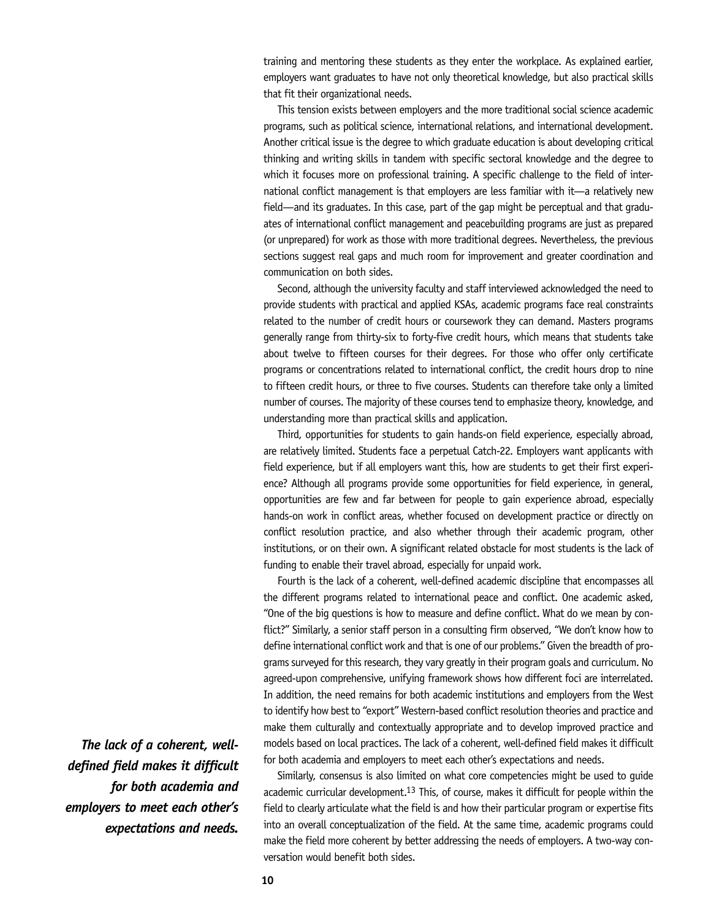training and mentoring these students as they enter the workplace. As explained earlier, employers want graduates to have not only theoretical knowledge, but also practical skills that fit their organizational needs.

This tension exists between employers and the more traditional social science academic programs, such as political science, international relations, and international development. Another critical issue is the degree to which graduate education is about developing critical thinking and writing skills in tandem with specific sectoral knowledge and the degree to which it focuses more on professional training. A specific challenge to the field of international conflict management is that employers are less familiar with it—a relatively new field—and its graduates. In this case, part of the gap might be perceptual and that graduates of international conflict management and peacebuilding programs are just as prepared (or unprepared) for work as those with more traditional degrees. Nevertheless, the previous sections suggest real gaps and much room for improvement and greater coordination and communication on both sides.

Second, although the university faculty and staff interviewed acknowledged the need to provide students with practical and applied KSAs, academic programs face real constraints related to the number of credit hours or coursework they can demand. Masters programs generally range from thirty-six to forty-five credit hours, which means that students take about twelve to fifteen courses for their degrees. For those who offer only certificate programs or concentrations related to international conflict, the credit hours drop to nine to fifteen credit hours, or three to five courses. Students can therefore take only a limited number of courses. The majority of these courses tend to emphasize theory, knowledge, and understanding more than practical skills and application.

Third, opportunities for students to gain hands-on field experience, especially abroad, are relatively limited. Students face a perpetual Catch-22. Employers want applicants with field experience, but if all employers want this, how are students to get their first experience? Although all programs provide some opportunities for field experience, in general, opportunities are few and far between for people to gain experience abroad, especially hands-on work in conflict areas, whether focused on development practice or directly on conflict resolution practice, and also whether through their academic program, other institutions, or on their own. A significant related obstacle for most students is the lack of funding to enable their travel abroad, especially for unpaid work.

Fourth is the lack of a coherent, well-defined academic discipline that encompasses all the different programs related to international peace and conflict. One academic asked, "One of the big questions is how to measure and define conflict. What do we mean by conflict?" Similarly, a senior staff person in a consulting firm observed, "We don't know how to define international conflict work and that is one of our problems." Given the breadth of programs surveyed for this research, they vary greatly in their program goals and curriculum. No agreed-upon comprehensive, unifying framework shows how different foci are interrelated. In addition, the need remains for both academic institutions and employers from the West to identify how best to "export" Western-based conflict resolution theories and practice and make them culturally and contextually appropriate and to develop improved practice and models based on local practices. The lack of a coherent, well-defined field makes it difficult for both academia and employers to meet each other's expectations and needs.

Similarly, consensus is also limited on what core competencies might be used to guide academic curricular development.<sup>13</sup> This, of course, makes it difficult for people within the field to clearly articulate what the field is and how their particular program or expertise fits into an overall conceptualization of the field. At the same time, academic programs could make the field more coherent by better addressing the needs of employers. A two-way conversation would benefit both sides.

*The lack of a coherent, welldefined field makes it difficult for both academia and employers to meet each other's expectations and needs.*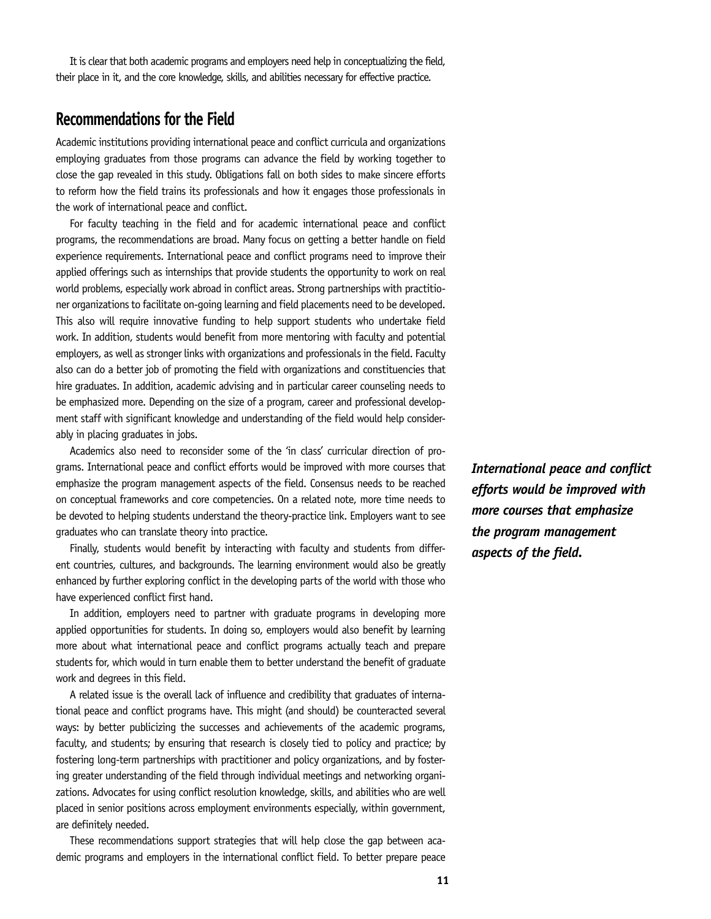It is clear that both academic programs and employers need help in conceptualizing the field, their place in it, and the core knowledge, skills, and abilities necessary for effective practice.

# **Recommendations for the Field**

Academic institutions providing international peace and conflict curricula and organizations employing graduates from those programs can advance the field by working together to close the gap revealed in this study. Obligations fall on both sides to make sincere efforts to reform how the field trains its professionals and how it engages those professionals in the work of international peace and conflict.

For faculty teaching in the field and for academic international peace and conflict programs, the recommendations are broad. Many focus on getting a better handle on field experience requirements. International peace and conflict programs need to improve their applied offerings such as internships that provide students the opportunity to work on real world problems, especially work abroad in conflict areas. Strong partnerships with practitioner organizations to facilitate on-going learning and field placements need to be developed. This also will require innovative funding to help support students who undertake field work. In addition, students would benefit from more mentoring with faculty and potential employers, as well as stronger links with organizations and professionals in the field. Faculty also can do a better job of promoting the field with organizations and constituencies that hire graduates. In addition, academic advising and in particular career counseling needs to be emphasized more. Depending on the size of a program, career and professional development staff with significant knowledge and understanding of the field would help considerably in placing graduates in jobs.

Academics also need to reconsider some of the 'in class' curricular direction of programs. International peace and conflict efforts would be improved with more courses that emphasize the program management aspects of the field. Consensus needs to be reached on conceptual frameworks and core competencies. On a related note, more time needs to be devoted to helping students understand the theory-practice link. Employers want to see graduates who can translate theory into practice.

Finally, students would benefit by interacting with faculty and students from different countries, cultures, and backgrounds. The learning environment would also be greatly enhanced by further exploring conflict in the developing parts of the world with those who have experienced conflict first hand.

In addition, employers need to partner with graduate programs in developing more applied opportunities for students. In doing so, employers would also benefit by learning more about what international peace and conflict programs actually teach and prepare students for, which would in turn enable them to better understand the benefit of graduate work and degrees in this field.

A related issue is the overall lack of influence and credibility that graduates of international peace and conflict programs have. This might (and should) be counteracted several ways: by better publicizing the successes and achievements of the academic programs, faculty, and students; by ensuring that research is closely tied to policy and practice; by fostering long-term partnerships with practitioner and policy organizations, and by fostering greater understanding of the field through individual meetings and networking organizations. Advocates for using conflict resolution knowledge, skills, and abilities who are well placed in senior positions across employment environments especially, within government, are definitely needed.

These recommendations support strategies that will help close the gap between academic programs and employers in the international conflict field. To better prepare peace *International peace and conflict efforts would be improved with more courses that emphasize the program management aspects of the field.*